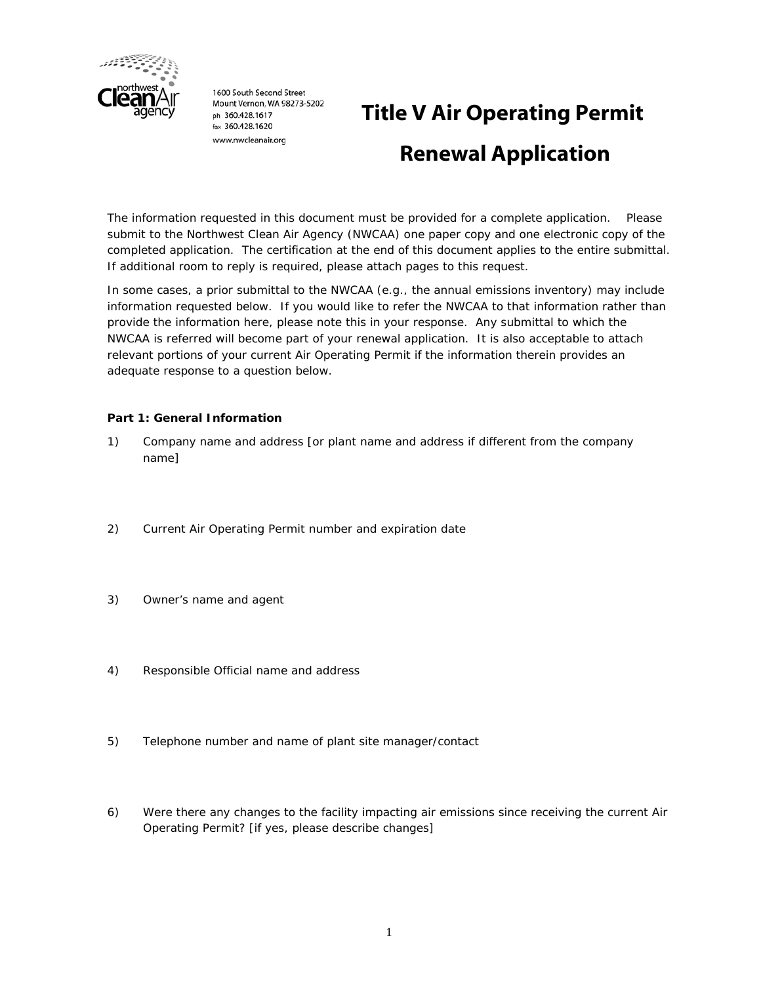

1600 South Second Street Mount Vernon, WA 98273-5202 ph 360.428.1617 fax 360,428,1620 www.nwcleanair.org

# **Title V Air Operating Permit Renewal Application**

The information requested in this document must be provided for a complete application. Please submit to the Northwest Clean Air Agency (NWCAA) one paper copy and one electronic copy of the completed application. The certification at the end of this document applies to the entire submittal. If additional room to reply is required, please attach pages to this request.

In some cases, a prior submittal to the NWCAA (e.g., the annual emissions inventory) may include information requested below. If you would like to refer the NWCAA to that information rather than provide the information here, please note this in your response. Any submittal to which the NWCAA is referred will become part of your renewal application. It is also acceptable to attach relevant portions of your current Air Operating Permit if the information therein provides an adequate response to a question below.

## **Part 1: General Information**

- 1) Company name and address [or plant name and address if different from the company name]
- 2) Current Air Operating Permit number and expiration date
- 3) Owner's name and agent
- 4) Responsible Official name and address
- 5) Telephone number and name of plant site manager/contact
- 6) Were there any changes to the facility impacting air emissions since receiving the current Air Operating Permit? [if yes, please describe changes]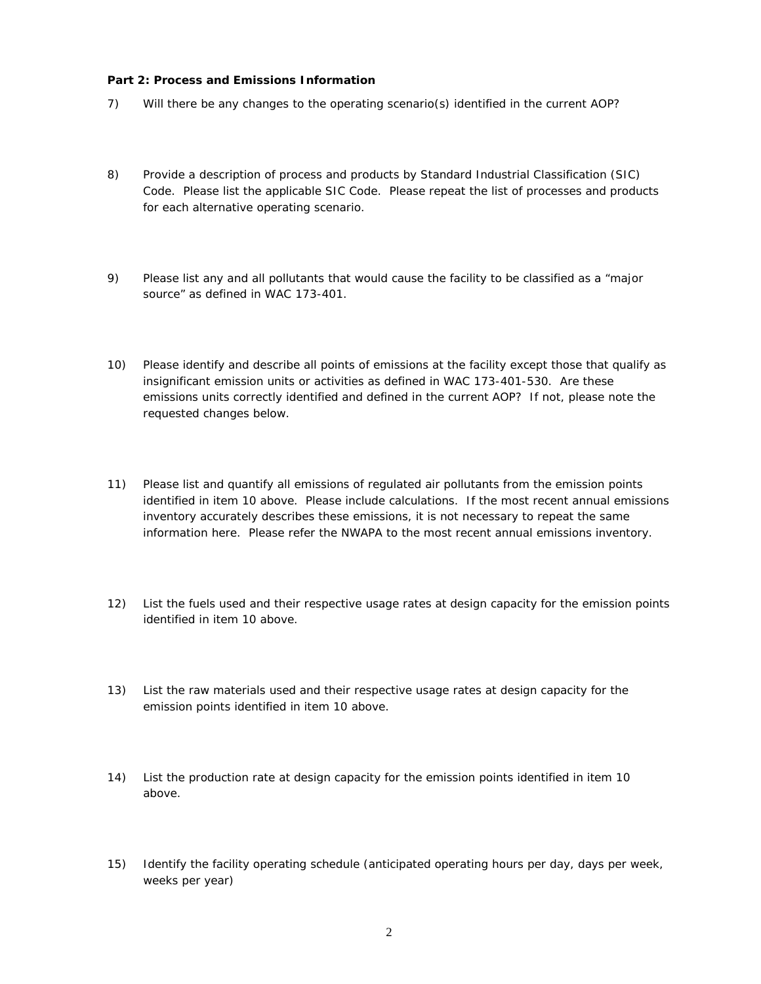#### **Part 2: Process and Emissions Information**

- 7) Will there be any changes to the operating scenario(s) identified in the current AOP?
- 8) Provide a description of process and products by Standard Industrial Classification (SIC) Code. Please list the applicable SIC Code. Please repeat the list of processes and products for each alternative operating scenario.
- 9) Please list any and all pollutants that would cause the facility to be classified as a "major source" as defined in WAC 173-401.
- 10) Please identify and describe all points of emissions at the facility except those that qualify as insignificant emission units or activities as defined in WAC 173-401-530. Are these emissions units correctly identified and defined in the current AOP? If not, please note the requested changes below.
- 11) Please list and quantify all emissions of regulated air pollutants from the emission points identified in item 10 above. Please include calculations. If the most recent annual emissions inventory accurately describes these emissions, it is not necessary to repeat the same information here. Please refer the NWAPA to the most recent annual emissions inventory.
- 12) List the fuels used and their respective usage rates at design capacity for the emission points identified in item 10 above.
- 13) List the raw materials used and their respective usage rates at design capacity for the emission points identified in item 10 above.
- 14) List the production rate at design capacity for the emission points identified in item 10 above.
- 15) Identify the facility operating schedule (anticipated operating hours per day, days per week, weeks per year)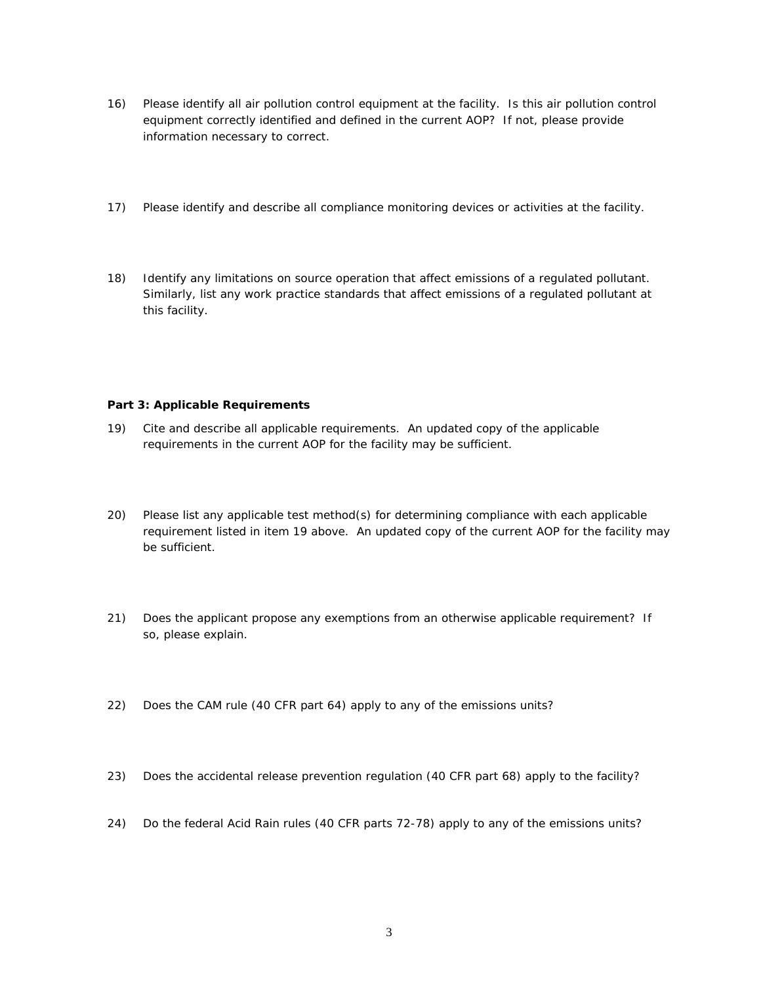- 16) Please identify all air pollution control equipment at the facility. Is this air pollution control equipment correctly identified and defined in the current AOP? If not, please provide information necessary to correct.
- 17) Please identify and describe all compliance monitoring devices or activities at the facility.
- 18) Identify any limitations on source operation that affect emissions of a regulated pollutant. Similarly, list any work practice standards that affect emissions of a regulated pollutant at this facility.

### **Part 3: Applicable Requirements**

- 19) Cite and describe all applicable requirements. An updated copy of the applicable requirements in the current AOP for the facility may be sufficient.
- 20) Please list any applicable test method(s) for determining compliance with each applicable requirement listed in item 19 above. An updated copy of the current AOP for the facility may be sufficient.
- 21) Does the applicant propose any exemptions from an otherwise applicable requirement? If so, please explain.
- 22) Does the CAM rule (40 CFR part 64) apply to any of the emissions units?
- 23) Does the accidental release prevention regulation (40 CFR part 68) apply to the facility?
- 24) Do the federal Acid Rain rules (40 CFR parts 72-78) apply to any of the emissions units?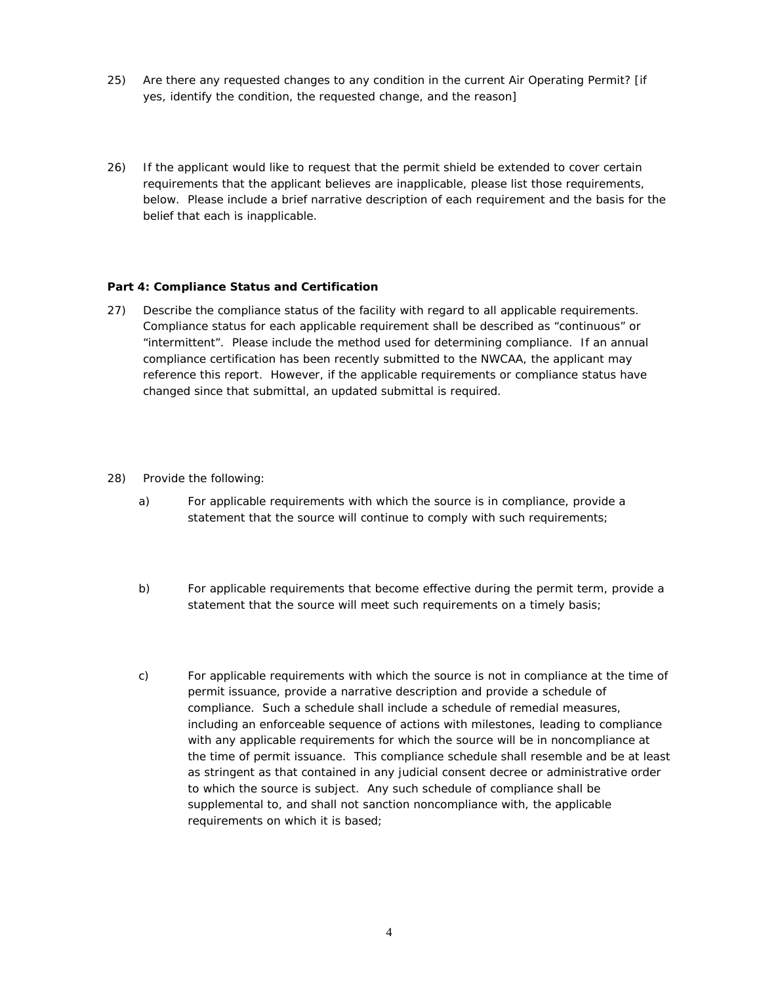- 25) Are there any requested changes to any condition in the current Air Operating Permit? [if yes, identify the condition, the requested change, and the reason]
- 26) If the applicant would like to request that the permit shield be extended to cover certain requirements that the applicant believes are inapplicable, please list those requirements, below. Please include a brief narrative description of each requirement and the basis for the belief that each is inapplicable.

#### **Part 4: Compliance Status and Certification**

- 27) Describe the compliance status of the facility with regard to all applicable requirements. Compliance status for each applicable requirement shall be described as "continuous" or "intermittent". Please include the method used for determining compliance. If an annual compliance certification has been recently submitted to the NWCAA, the applicant may reference this report. However, if the applicable requirements or compliance status have changed since that submittal, an updated submittal is required.
- 28) Provide the following:
	- a) For applicable requirements with which the source is in compliance, provide a statement that the source will continue to comply with such requirements;
	- b) For applicable requirements that become effective during the permit term, provide a statement that the source will meet such requirements on a timely basis;
	- c) For applicable requirements with which the source is not in compliance at the time of permit issuance, provide a narrative description and provide a schedule of compliance. Such a schedule shall include a schedule of remedial measures, including an enforceable sequence of actions with milestones, leading to compliance with any applicable requirements for which the source will be in noncompliance at the time of permit issuance. This compliance schedule shall resemble and be at least as stringent as that contained in any judicial consent decree or administrative order to which the source is subject. Any such schedule of compliance shall be supplemental to, and shall not sanction noncompliance with, the applicable requirements on which it is based;